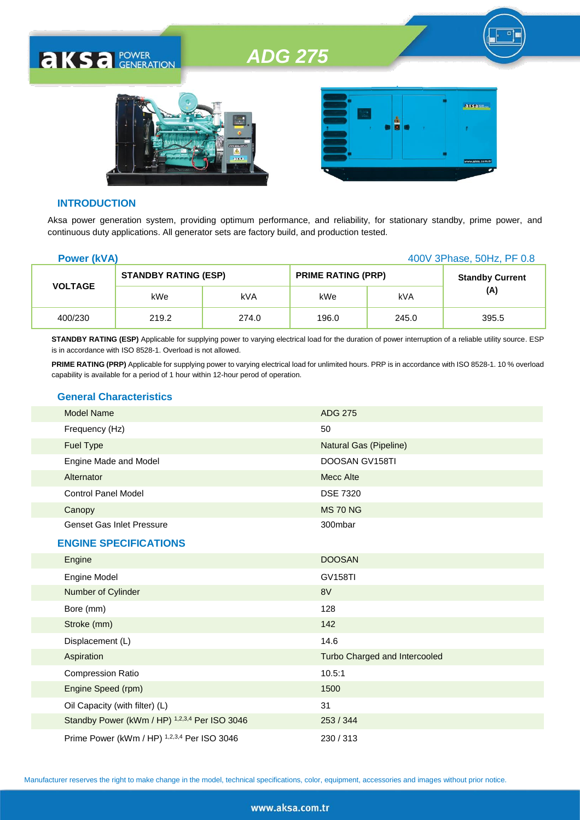



#### **INTRODUCTION**

**AKSA POWER** 

Aksa power generation system, providing optimum performance, and reliability, for stationary standby, prime power, and continuous duty applications. All generator sets are factory build, and production tested.

| <b>Power (kVA)</b><br>400V 3Phase, 50Hz, PF 0.8 |                             |       |                           |       |                        |
|-------------------------------------------------|-----------------------------|-------|---------------------------|-------|------------------------|
| <b>VOLTAGE</b>                                  | <b>STANDBY RATING (ESP)</b> |       | <b>PRIME RATING (PRP)</b> |       | <b>Standby Current</b> |
|                                                 | kWe                         | kVA   | kWe                       | kVA   | (A)                    |
| 400/230                                         | 219.2                       | 274.0 | 196.0                     | 245.0 | 395.5                  |

**STANDBY RATING (ESP)** Applicable for supplying power to varying electrical load for the duration of power interruption of a reliable utility source. ESP is in accordance with ISO 8528-1. Overload is not allowed.

PRIME RATING (PRP) Applicable for supplying power to varying electrical load for unlimited hours. PRP is in accordance with ISO 8528-1. 10 % overload capability is available for a period of 1 hour within 12-hour perod of operation.

#### **General Characteristics**

| <b>Model Name</b>                | <b>ADG 275</b>         |
|----------------------------------|------------------------|
| Frequency (Hz)                   | 50                     |
| Fuel Type                        | Natural Gas (Pipeline) |
| Engine Made and Model            | DOOSAN GV158TI         |
| Alternator                       | Mecc Alte              |
| <b>Control Panel Model</b>       | <b>DSE 7320</b>        |
| Canopy                           | <b>MS 70 NG</b>        |
| <b>Genset Gas Inlet Pressure</b> | 300mbar                |
| <b>ENGINE SPECIFICATIONS</b>     |                        |
| Engine                           | <b>DOOSAN</b>          |
| Engine Model                     | <b>GV158TI</b>         |
| Number of Cylinder               | 8V                     |
| Bore (mm)                        | 128                    |
| Stroke (mm)                      | 142                    |
| Displacement (L)                 | 14.6                   |
|                                  |                        |

| Aspiration                                    | Turbo Charged and Intercooled |
|-----------------------------------------------|-------------------------------|
| <b>Compression Ratio</b>                      | 10.5:1                        |
| Engine Speed (rpm)                            | 1500                          |
| Oil Capacity (with filter) (L)                | 31                            |
| Standby Power (kWm / HP) 1,2,3,4 Per ISO 3046 | 253/344                       |
| Prime Power (kWm / HP) 1,2,3,4 Per ISO 3046   | 230/313                       |

Manufacturer reserves the right to make change in the model, technical specifications, color, equipment, accessories and images without prior notice.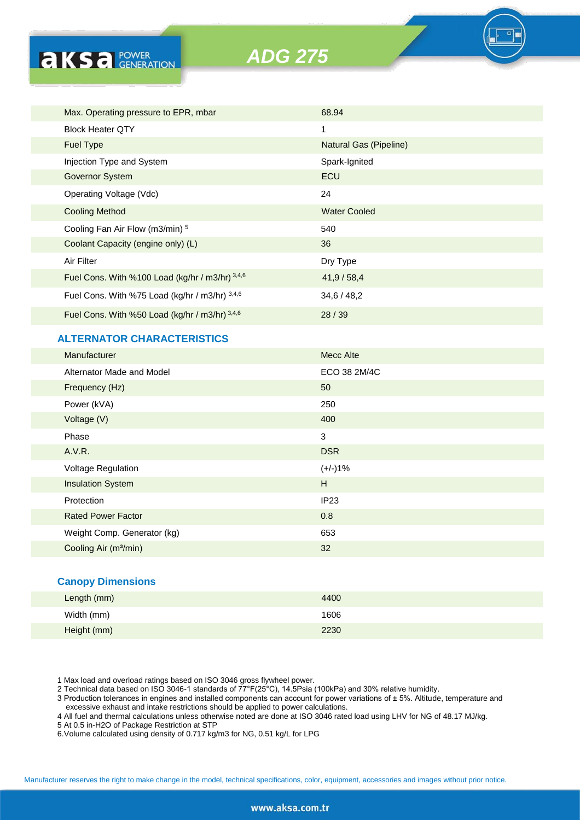

|                         | Max. Operating pressure to EPR, mbar            | 68.94                  |
|-------------------------|-------------------------------------------------|------------------------|
| <b>Block Heater OTY</b> |                                                 | 1                      |
| <b>Fuel Type</b>        |                                                 | Natural Gas (Pipeline) |
|                         | Injection Type and System                       | Spark-Ignited          |
| <b>Governor System</b>  |                                                 | ECU                    |
|                         | Operating Voltage (Vdc)                         | 24                     |
| <b>Cooling Method</b>   |                                                 | <b>Water Cooled</b>    |
|                         | Cooling Fan Air Flow (m3/min) 5                 | 540                    |
|                         | Coolant Capacity (engine only) (L)              | 36                     |
| Air Filter              |                                                 | Dry Type               |
|                         | Fuel Cons. With %100 Load (kg/hr / m3/hr) 3,4,6 | 41,9/58,4              |
|                         | Fuel Cons. With %75 Load (kg/hr / m3/hr) 3,4,6  | 34,6/48,2              |
|                         | Fuel Cons. With %50 Load (kg/hr / m3/hr) 3,4,6  | 28/39                  |

### **ALTERNATOR CHARACTERISTICS**

**AKSA POWER** 

| Manufacturer                      | <b>Mecc Alte</b> |
|-----------------------------------|------------------|
| Alternator Made and Model         | ECO 38 2M/4C     |
| Frequency (Hz)                    | 50               |
| Power (kVA)                       | 250              |
| Voltage (V)                       | 400              |
| Phase                             | 3                |
| A.V.R.                            | <b>DSR</b>       |
| Voltage Regulation                | $(+/-)1%$        |
| <b>Insulation System</b>          | H                |
| Protection                        | IP23             |
| <b>Rated Power Factor</b>         | 0.8              |
| Weight Comp. Generator (kg)       | 653              |
| Cooling Air (m <sup>3</sup> /min) | 32               |

#### **Canopy Dimensions**

| Length (mm) | 4400 |
|-------------|------|
| Width (mm)  | 1606 |
| Height (mm) | 2230 |

1 Max load and overload ratings based on ISO 3046 gross flywheel power.

2 Technical data based on ISO 3046-1 standards of 77°F(25°C), 14.5Psia (100kPa) and 30% relative humidity.

3 Production tolerances in engines and installed components can account for power variations of ± 5%. Altitude, temperature and excessive exhaust and intake restrictions should be applied to power calculations.

4 All fuel and thermal calculations unless otherwise noted are done at ISO 3046 rated load using LHV for NG of 48.17 MJ/kg.

5 At 0.5 in-H2O of Package Restriction at STP

6.Volume calculated using density of 0.717 kg/m3 for NG, 0.51 kg/L for LPG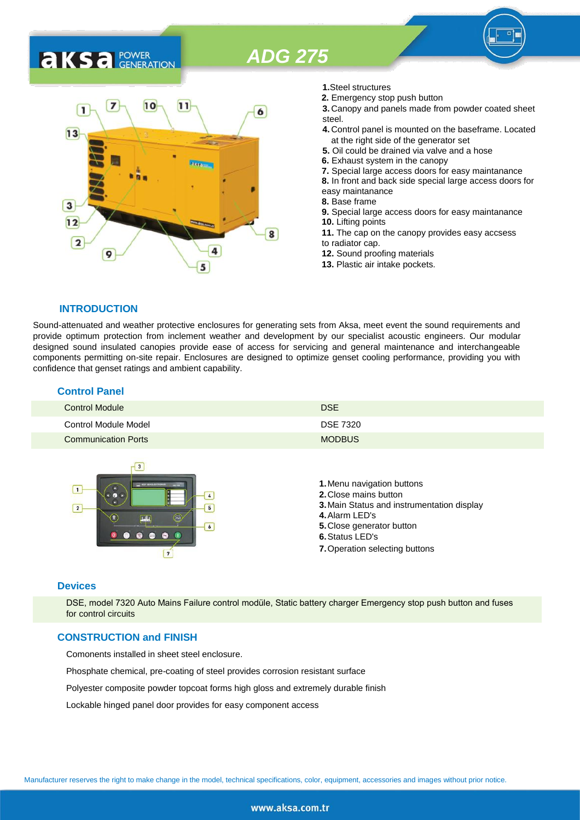# **AKS** *C C <b>C GENERATION*



- **1.**Steel structures
- **2.** Emergency stop push button
- **3.** Canopy and panels made from powder coated sheet steel.
- **4.** Control panel is mounted on the baseframe. Located at the right side of the generator set
- **5.** Oil could be drained via valve and a hose
- **6.** Exhaust system in the canopy
- **7.** Special large access doors for easy maintanance
- **8.** In front and back side special large access doors for
- easy maintanance
- **8.** Base frame
- **9.** Special large access doors for easy maintanance **10.** Lifting points **11.** The cap on the canopy provides easy accsess
- to radiator cap.
- **12.** Sound proofing materials
- **13.** Plastic air intake pockets.

#### **INTRODUCTION**

Sound-attenuated and weather protective enclosures for generating sets from Aksa, meet event the sound requirements and provide optimum protection from inclement weather and development by our specialist acoustic engineers. Our modular designed sound insulated canopies provide ease of access for servicing and general maintenance and interchangeable components permitting on-site repair. Enclosures are designed to optimize genset cooling performance, providing you with confidence that genset ratings and ambient capability.

#### **Control Panel**

| <b>Control Module</b>      | <b>DSE</b>      |
|----------------------------|-----------------|
| Control Module Model       | <b>DSE 7320</b> |
| <b>Communication Ports</b> | <b>MODBUS</b>   |



#### **Devices**

DSE, model 7320 Auto Mains Failure control modüle, Static battery charger Emergency stop push button and fuses for control circuits

#### **CONSTRUCTION and FINISH**

Comonents installed in sheet steel enclosure.

Phosphate chemical, pre-coating of steel provides corrosion resistant surface

Polyester composite powder topcoat forms high gloss and extremely durable finish

Lockable hinged panel door provides for easy component access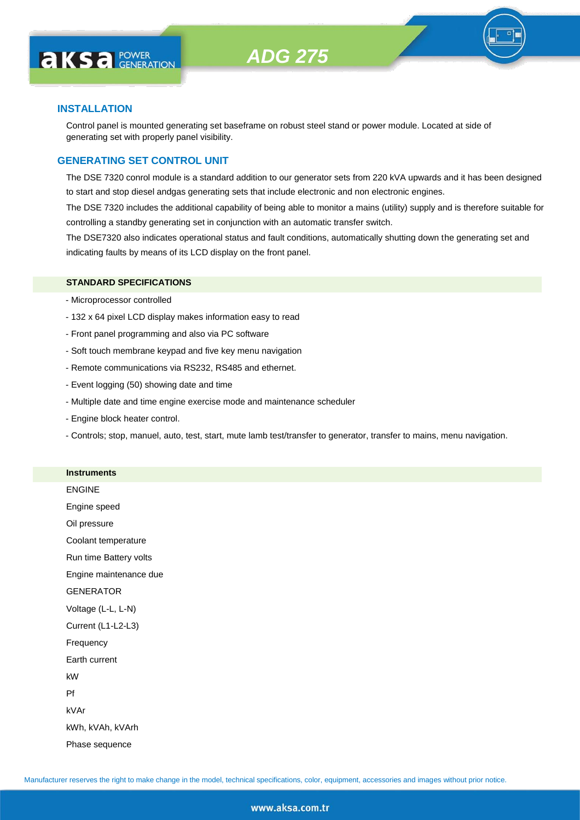

#### **INSTALLATION**

Control panel is mounted generating set baseframe on robust steel stand or power module. Located at side of generating set with properly panel visibility.

#### **GENERATING SET CONTROL UNIT**

The DSE 7320 conrol module is a standard addition to our generator sets from 220 kVA upwards and it has been designed to start and stop diesel andgas generating sets that include electronic and non electronic engines.

The DSE 7320 includes the additional capability of being able to monitor a mains (utility) supply and is therefore suitable for controlling a standby generating set in conjunction with an automatic transfer switch.

The DSE7320 also indicates operational status and fault conditions, automatically shutting down the generating set and indicating faults by means of its LCD display on the front panel.

#### **STANDARD SPECIFICATIONS**

- Microprocessor controlled
- 132 x 64 pixel LCD display makes information easy to read
- Front panel programming and also via PC software
- Soft touch membrane keypad and five key menu navigation
- Remote communications via RS232, RS485 and ethernet.
- Event logging (50) showing date and time
- Multiple date and time engine exercise mode and maintenance scheduler
- Engine block heater control.

**Instruments**

- Controls; stop, manuel, auto, test, start, mute lamb test/transfer to generator, transfer to mains, menu navigation.

| <b>IIISU UIIIEIILS</b> |
|------------------------|
| <b>ENGINE</b>          |
| Engine speed           |
| Oil pressure           |
| Coolant temperature    |
| Run time Battery volts |
| Engine maintenance due |
| <b>GENERATOR</b>       |
| Voltage (L-L, L-N)     |
| Current (L1-L2-L3)     |
| Frequency              |
| Earth current          |
| kW                     |
| Pf                     |
| kVAr                   |
| kWh, kVAh, kVArh       |
| Phase sequence         |
|                        |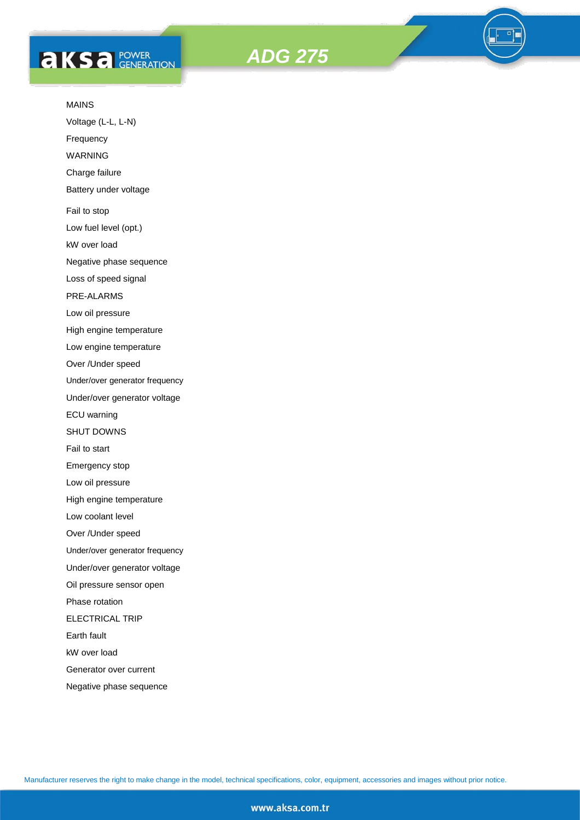# **AKS** *C ROWER*





#### MAINS

Voltage (L-L, L-N)

Frequency

WARNING

Charge failure

Battery under voltage

Fail to stop

Low fuel level (opt.)

kW over load

Negative phase sequence

Loss of speed signal

PRE-ALARMS

Low oil pressure

High engine temperature

Low engine temperature

Over /Under speed

Under/over generator frequency

Under/over generator voltage

ECU warning

SHUT DOWNS

Fail to start

Emergency stop

Low oil pressure

High engine temperature

Low coolant level

Over /Under speed

Under/over generator frequency

Under/over generator voltage

Oil pressure sensor open

Phase rotation

ELECTRICAL TRIP

Earth fault

kW over load

Generator over current

Negative phase sequence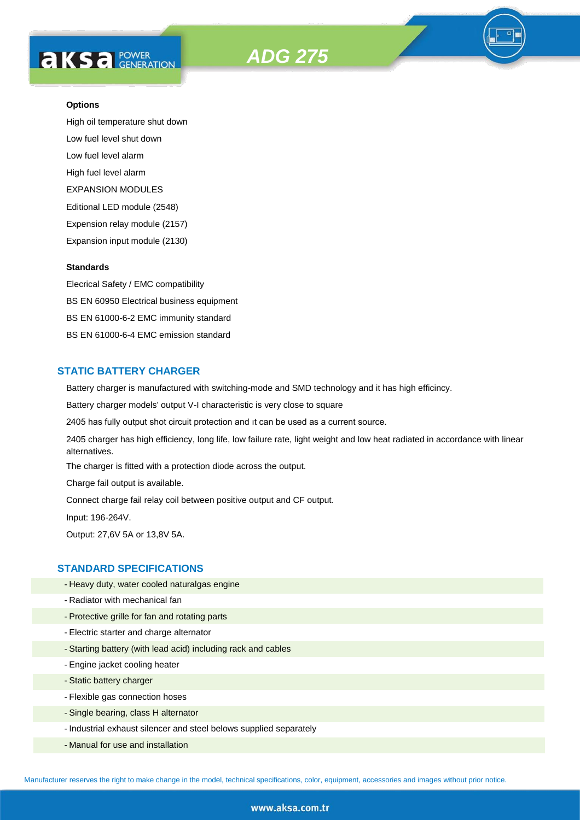



High oil temperature shut down Low fuel level shut down Low fuel level alarm High fuel level alarm EXPANSION MODULES Editional LED module (2548) Expension relay module (2157) Expansion input module (2130)

#### **Standards**

Elecrical Safety / EMC compatibility BS EN 60950 Electrical business equipment BS EN 61000-6-2 EMC immunity standard BS EN 61000-6-4 EMC emission standard

#### **STATIC BATTERY CHARGER**

Battery charger is manufactured with switching-mode and SMD technology and it has high efficincy.

Battery charger models' output V-I characteristic is very close to square

2405 has fully output shot circuit protection and ıt can be used as a current source.

2405 charger has high efficiency, long life, low failure rate, light weight and low heat radiated in accordance with linear alternatives.

The charger is fitted with a protection diode across the output.

Charge fail output is available.

Connect charge fail relay coil between positive output and CF output.

Input: 196-264V.

Output: 27,6V 5A or 13,8V 5A.

#### **STANDARD SPECIFICATIONS**

- Heavy duty, water cooled naturalgas engine
- Radiator with mechanical fan
- Protective grille for fan and rotating parts
- Electric starter and charge alternator
- Starting battery (with lead acid) including rack and cables
- Engine jacket cooling heater
- Static battery charger
- Flexible gas connection hoses
- Single bearing, class H alternator
- Industrial exhaust silencer and steel belows supplied separately
- Manual for use and installation

Manufacturer reserves the right to make change in the model, technical specifications, color, equipment, accessories and images without prior notice.